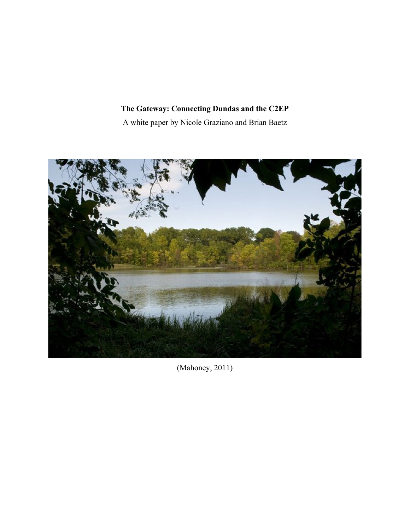# **The Gateway: Connecting Dundas and the C2EP**

A white paper by Nicole Graziano and Brian Baetz



(Mahoney, 2011)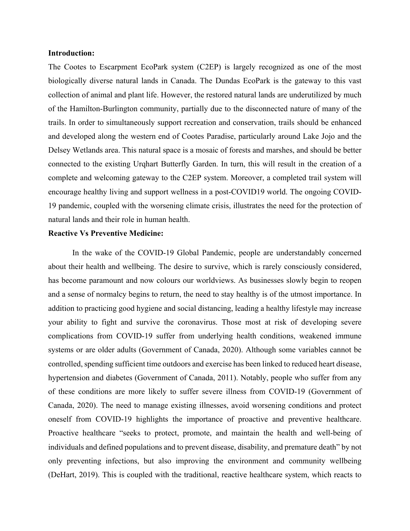### **Introduction:**

The Cootes to Escarpment EcoPark system (C2EP) is largely recognized as one of the most biologically diverse natural lands in Canada. The Dundas EcoPark is the gateway to this vast collection of animal and plant life. However, the restored natural lands are underutilized by much of the Hamilton-Burlington community, partially due to the disconnected nature of many of the trails. In order to simultaneously support recreation and conservation, trails should be enhanced and developed along the western end of Cootes Paradise, particularly around Lake Jojo and the Delsey Wetlands area. This natural space is a mosaic of forests and marshes, and should be better connected to the existing Urqhart Butterfly Garden. In turn, this will result in the creation of a complete and welcoming gateway to the C2EP system. Moreover, a completed trail system will encourage healthy living and support wellness in a post-COVID19 world. The ongoing COVID-19 pandemic, coupled with the worsening climate crisis, illustrates the need for the protection of natural lands and their role in human health.

## **Reactive Vs Preventive Medicine:**

In the wake of the COVID-19 Global Pandemic, people are understandably concerned about their health and wellbeing. The desire to survive, which is rarely consciously considered, has become paramount and now colours our worldviews. As businesses slowly begin to reopen and a sense of normalcy begins to return, the need to stay healthy is of the utmost importance. In addition to practicing good hygiene and social distancing, leading a healthy lifestyle may increase your ability to fight and survive the coronavirus. Those most at risk of developing severe complications from COVID-19 suffer from underlying health conditions, weakened immune systems or are older adults (Government of Canada, 2020). Although some variables cannot be controlled, spending sufficient time outdoors and exercise has been linked to reduced heart disease, hypertension and diabetes (Government of Canada, 2011). Notably, people who suffer from any of these conditions are more likely to suffer severe illness from COVID-19 (Government of Canada, 2020). The need to manage existing illnesses, avoid worsening conditions and protect oneself from COVID-19 highlights the importance of proactive and preventive healthcare. Proactive healthcare "seeks to protect, promote, and maintain the health and well-being of individuals and defined populations and to prevent disease, disability, and premature death" by not only preventing infections, but also improving the environment and community wellbeing (DeHart, 2019). This is coupled with the traditional, reactive healthcare system, which reacts to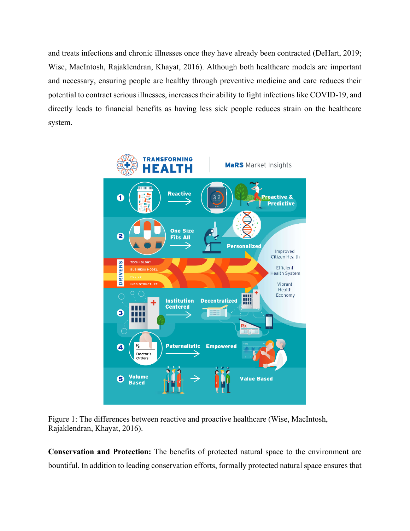and treats infections and chronic illnesses once they have already been contracted (DeHart, 2019; Wise, MacIntosh, Rajaklendran, Khayat, 2016). Although both healthcare models are important and necessary, ensuring people are healthy through preventive medicine and care reduces their potential to contract serious illnesses, increases their ability to fight infections like COVID-19, and directly leads to financial benefits as having less sick people reduces strain on the healthcare system.



Figure 1: The differences between reactive and proactive healthcare (Wise, MacIntosh, Rajaklendran, Khayat, 2016).

**Conservation and Protection:** The benefits of protected natural space to the environment are bountiful. In addition to leading conservation efforts, formally protected natural space ensures that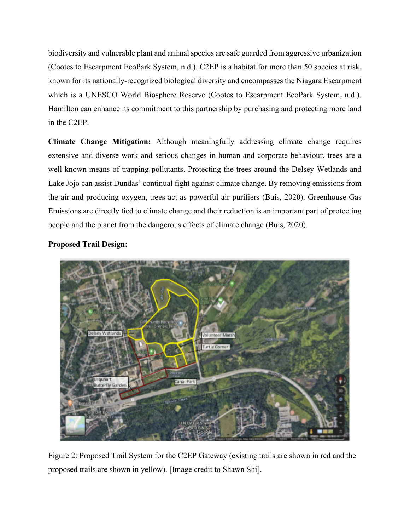biodiversity and vulnerable plant and animal species are safe guarded from aggressive urbanization (Cootes to Escarpment EcoPark System, n.d.). C2EP is a habitat for more than 50 species at risk, known for its nationally-recognized biological diversity and encompasses the Niagara Escarpment which is a UNESCO World Biosphere Reserve (Cootes to Escarpment EcoPark System, n.d.). Hamilton can enhance its commitment to this partnership by purchasing and protecting more land in the C2EP.

**Climate Change Mitigation:** Although meaningfully addressing climate change requires extensive and diverse work and serious changes in human and corporate behaviour, trees are a well-known means of trapping pollutants. Protecting the trees around the Delsey Wetlands and Lake Jojo can assist Dundas' continual fight against climate change. By removing emissions from the air and producing oxygen, trees act as powerful air purifiers (Buis, 2020). Greenhouse Gas Emissions are directly tied to climate change and their reduction is an important part of protecting people and the planet from the dangerous effects of climate change (Buis, 2020).

**Proposed Trail Design:** 



Figure 2: Proposed Trail System for the C2EP Gateway (existing trails are shown in red and the proposed trails are shown in yellow). [Image credit to Shawn Shi].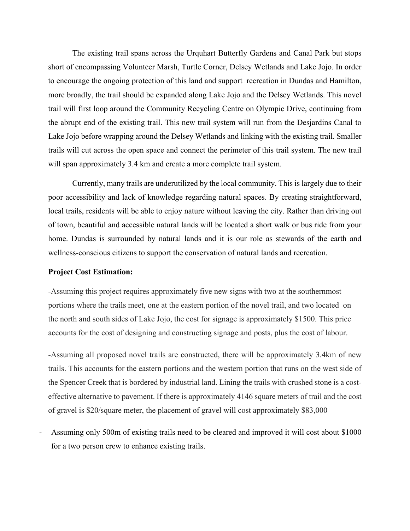The existing trail spans across the Urquhart Butterfly Gardens and Canal Park but stops short of encompassing Volunteer Marsh, Turtle Corner, Delsey Wetlands and Lake Jojo. In order to encourage the ongoing protection of this land and support recreation in Dundas and Hamilton, more broadly, the trail should be expanded along Lake Jojo and the Delsey Wetlands. This novel trail will first loop around the Community Recycling Centre on Olympic Drive, continuing from the abrupt end of the existing trail. This new trail system will run from the Desjardins Canal to Lake Jojo before wrapping around the Delsey Wetlands and linking with the existing trail. Smaller trails will cut across the open space and connect the perimeter of this trail system. The new trail will span approximately 3.4 km and create a more complete trail system.

Currently, many trails are underutilized by the local community. This is largely due to their poor accessibility and lack of knowledge regarding natural spaces. By creating straightforward, local trails, residents will be able to enjoy nature without leaving the city. Rather than driving out of town, beautiful and accessible natural lands will be located a short walk or bus ride from your home. Dundas is surrounded by natural lands and it is our role as stewards of the earth and wellness-conscious citizens to support the conservation of natural lands and recreation.

#### **Project Cost Estimation:**

-Assuming this project requires approximately five new signs with two at the southernmost portions where the trails meet, one at the eastern portion of the novel trail, and two located on the north and south sides of Lake Jojo, the cost for signage is approximately \$1500. This price accounts for the cost of designing and constructing signage and posts, plus the cost of labour.

-Assuming all proposed novel trails are constructed, there will be approximately 3.4km of new trails. This accounts for the eastern portions and the western portion that runs on the west side of the Spencer Creek that is bordered by industrial land. Lining the trails with crushed stone is a costeffective alternative to pavement. If there is approximately 4146 square meters of trail and the cost of gravel is \$20/square meter, the placement of gravel will cost approximately \$83,000

Assuming only 500m of existing trails need to be cleared and improved it will cost about \$1000 for a two person crew to enhance existing trails.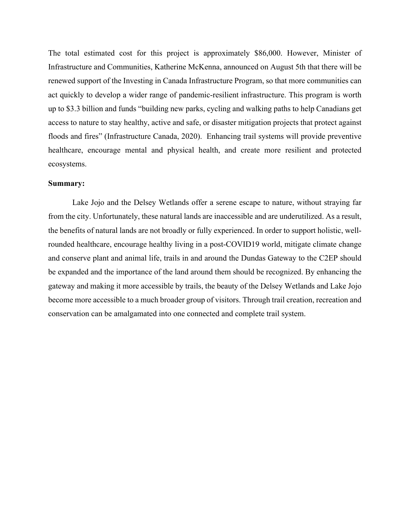The total estimated cost for this project is approximately \$86,000. However, Minister of Infrastructure and Communities, Katherine McKenna, announced on August 5th that there will be renewed support of the Investing in Canada Infrastructure Program, so that more communities can act quickly to develop a wider range of pandemic-resilient infrastructure. This program is worth up to \$3.3 billion and funds "building new parks, cycling and walking paths to help Canadians get access to nature to stay healthy, active and safe, or disaster mitigation projects that protect against floods and fires" (Infrastructure Canada, 2020). Enhancing trail systems will provide preventive healthcare, encourage mental and physical health, and create more resilient and protected ecosystems.

#### **Summary:**

Lake Jojo and the Delsey Wetlands offer a serene escape to nature, without straying far from the city. Unfortunately, these natural lands are inaccessible and are underutilized. As a result, the benefits of natural lands are not broadly or fully experienced. In order to support holistic, wellrounded healthcare, encourage healthy living in a post-COVID19 world, mitigate climate change and conserve plant and animal life, trails in and around the Dundas Gateway to the C2EP should be expanded and the importance of the land around them should be recognized. By enhancing the gateway and making it more accessible by trails, the beauty of the Delsey Wetlands and Lake Jojo become more accessible to a much broader group of visitors. Through trail creation, recreation and conservation can be amalgamated into one connected and complete trail system.